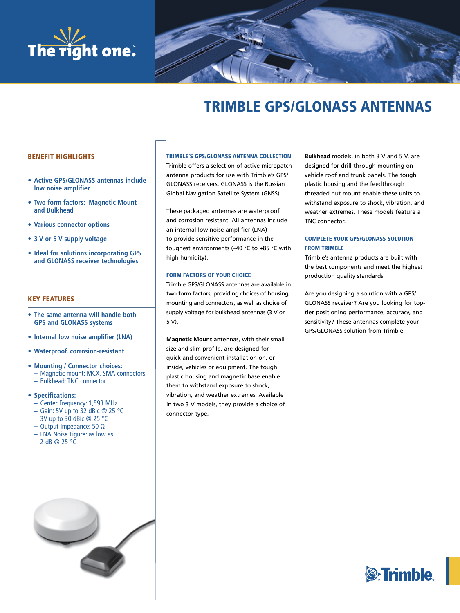



# TRIMBLE GPS/GLONASS ANTENNAS

# BENEFIT HIGHLIGHTS

- **Active GPS/GLONASS antennas include low noise amplifier**
- **Two form factors: Magnetic Mount and Bulkhead**
- **Various connector options**
- **3 V or 5 V supply voltage**
- **Ideal for solutions incorporating GPS and GLONASS receiver technologies**

# KEY FEATURES

- **The same antenna will handle both GPS and GLONASS systems**
- **Internal low noise amplifier (LNA)**
- **Waterproof, corrosion-resistant**
- **Mounting / Connector choices: –** Magnetic mount: MCX, SMA connectors **–** Bulkhead: TNC connector

## **• Specifications:**

- **–** Center Frequency: 1,593 MHz
- **–** Gain: 5V up to 32 dBic @ 25 °C
- 3V up to 30 dBic @ 25 °C
- **–** Output Impedance: 50 Ω
- **–** LNA Noise Figure: as low as 2 dB @ 25 °C



Trimble offers a selection of active micropatch antenna products for use with Trimble's GPS/ GLONASS receivers. GLONASS is the Russian Global Navigation Satellite System (GNSS).

These packaged antennas are waterproof and corrosion resistant. All antennas include an internal low noise amplifier (LNA) to provide sensitive performance in the toughest environments (–40 °C to +85 °C with high humidity).

#### FORM FACTORS OF YOUR CHOICE

Trimble GPS/GLONASS antennas are available in two form factors, providing choices of housing, mounting and connectors, as well as choice of supply voltage for bulkhead antennas (3 V or 5 V).

**Magnetic Mount** antennas, with their small size and slim profile, are designed for quick and convenient installation on, or inside, vehicles or equipment. The tough plastic housing and magnetic base enable them to withstand exposure to shock, vibration, and weather extremes. Available in two 3 V models, they provide a choice of connector type.

**Bulkhead** models, in both 3 V and 5 V, are designed for drill-through mounting on vehicle roof and trunk panels. The tough plastic housing and the feedthrough threaded nut mount enable these units to withstand exposure to shock, vibration, and weather extremes. These models feature a TNC connector.

# COMPLETE YOUR GPS/GLONASS SOLUTION FROM TRIMBLE

Trimble's antenna products are built with the best components and meet the highest production quality standards.

Are you designing a solution with a GPS/ GLONASS receiver? Are you looking for toptier positioning performance, accuracy, and sensitivity? These antennas complete your GPS/GLONASS solution from Trimble.